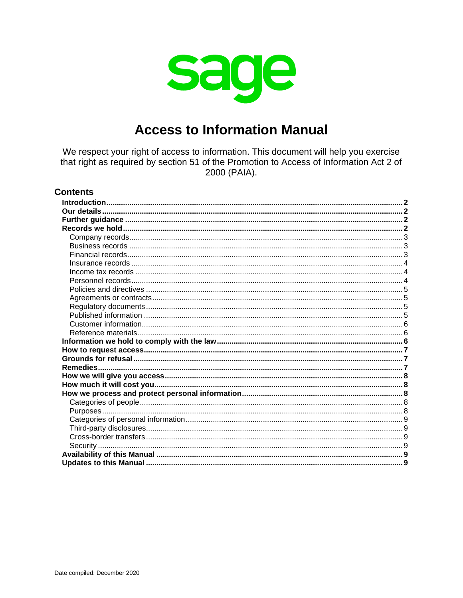

# **Access to Information Manual**

We respect your right of access to information. This document will help you exercise that right as required by section 51 of the Promotion to Access of Information Act 2 of 2000 (PAIA).

### **Contents**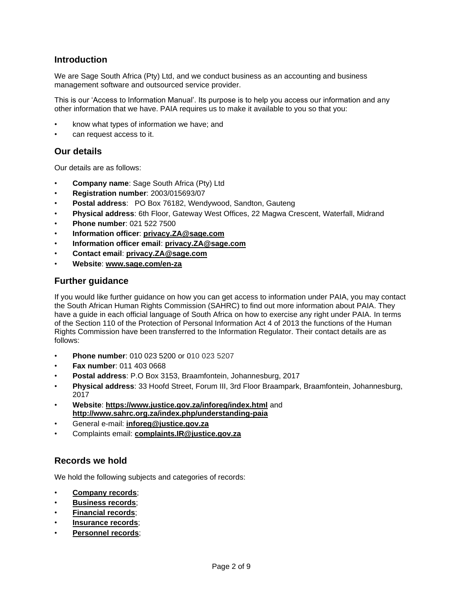# <span id="page-1-0"></span>**Introduction**

We are Sage South Africa (Pty) Ltd, and we conduct business as an accounting and business management software and outsourced service provider.

This is our 'Access to Information Manual'. Its purpose is to help you access our information and any other information that we have. PAIA requires us to make it available to you so that you:

- know what types of information we have; and
- can request access to it.

# <span id="page-1-1"></span>**Our details**

Our details are as follows:

- **Company name**: Sage South Africa (Pty) Ltd
- **Registration number**: 2003/015693/07
- **Postal address**: PO Box 76182, Wendywood, Sandton, Gauteng
- **Physical address**: 6th Floor, Gateway West Offices, 22 Magwa Crescent, Waterfall, Midrand
- **Phone number**: 021 522 7500
- **Information officer**: **[privacy.ZA@sage.com](mailto:privacy.ZA@sage.com)**
- **Information officer email**: **[privacy.ZA@sage.com](mailto:privacy.ZA@sage.com)**
- **Contact email**: **[privacy.ZA@sage.com](mailto:privacy.ZA@sage.com)**
- **Website**: **[www.sage.com/en-za](https://www.sage.com/en-za)**

### <span id="page-1-2"></span>**Further guidance**

If you would like further guidance on how you can get access to information under PAIA, you may contact the South African Human Rights Commission (SAHRC) to find out more information about PAIA. They have a guide in each official language of South Africa on how to exercise any right under PAIA. In terms of the Section 110 of the Protection of Personal Information Act 4 of 2013 the functions of the Human Rights Commission have been transferred to the Information Regulator. Their contact details are as follows:

- **Phone number**: 010 023 5200 or 010 023 5207
- **Fax number**: 011 403 0668
- **Postal address**: P.O Box 3153, Braamfontein, Johannesburg, 2017
- **Physical address**: 33 Hoofd Street, Forum III, 3rd Floor Braampark, Braamfontein, Johannesburg, 2017
- **Website**: **<https://www.justice.gov.za/inforeg/index.html>** and **<http://www.sahrc.org.za/index.php/understanding-paia>**
- General e-mail: **[inforeg@justice.gov.za](mailto:inforeg@justice.gov.za)**
- Complaints email: **[complaints.IR@justice.gov.za](mailto:complaints.IR@justice.gov.za)**

# <span id="page-1-3"></span>**Records we hold**

We hold the following subjects and categories of records:

- **[Company records](#page-2-0)**;
- **[Business records](#page-2-1)**;
- **[Financial records](#page-2-2)**;
- **[Insurance records](#page-3-0)**;
- **[Personnel records](#page-3-2)**;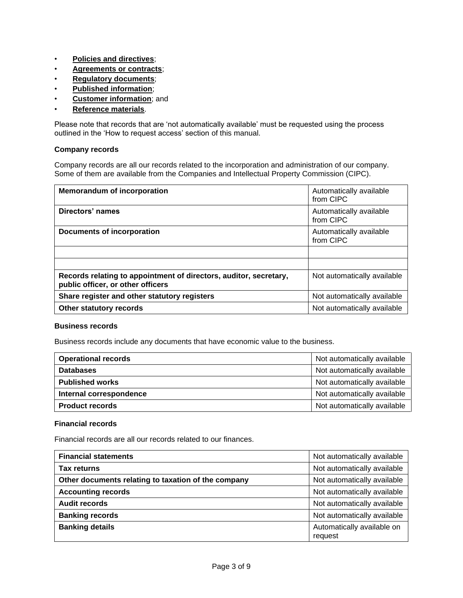- **[Policies and directives](#page-4-0)**;
- **[Agreements or contracts](#page-4-1)**;
- **[Regulatory documents](#page-4-2)**;
- **[Published information](#page-4-3)**;
- **[Customer information](#page-5-0)**; and
- **[Reference materials](#page-5-1)**.

Please note that records that are 'not automatically available' must be requested using the process outlined in the 'How to request access' section of this manual.

### <span id="page-2-0"></span>**Company records**

Company records are all our records related to the incorporation and administration of our company. Some of them are available from the Companies and Intellectual Property Commission (CIPC).

| <b>Memorandum of incorporation</b>                                                                     | Automatically available<br>from CIPC |
|--------------------------------------------------------------------------------------------------------|--------------------------------------|
| Directors' names                                                                                       | Automatically available<br>from CIPC |
| Documents of incorporation                                                                             | Automatically available<br>from CIPC |
|                                                                                                        |                                      |
|                                                                                                        |                                      |
| Records relating to appointment of directors, auditor, secretary,<br>public officer, or other officers | Not automatically available          |
| Share register and other statutory registers                                                           | Not automatically available          |
| Other statutory records                                                                                | Not automatically available          |

#### <span id="page-2-1"></span>**Business records**

Business records include any documents that have economic value to the business.

| <b>Operational records</b> | Not automatically available |
|----------------------------|-----------------------------|
| <b>Databases</b>           | Not automatically available |
| <b>Published works</b>     | Not automatically available |
| Internal correspondence    | Not automatically available |
| <b>Product records</b>     | Not automatically available |

### <span id="page-2-2"></span>**Financial records**

Financial records are all our records related to our finances.

| <b>Financial statements</b>                         | Not automatically available           |
|-----------------------------------------------------|---------------------------------------|
| <b>Tax returns</b>                                  | Not automatically available           |
| Other documents relating to taxation of the company | Not automatically available           |
| <b>Accounting records</b>                           | Not automatically available           |
| <b>Audit records</b>                                | Not automatically available           |
| <b>Banking records</b>                              | Not automatically available           |
| <b>Banking details</b>                              | Automatically available on<br>request |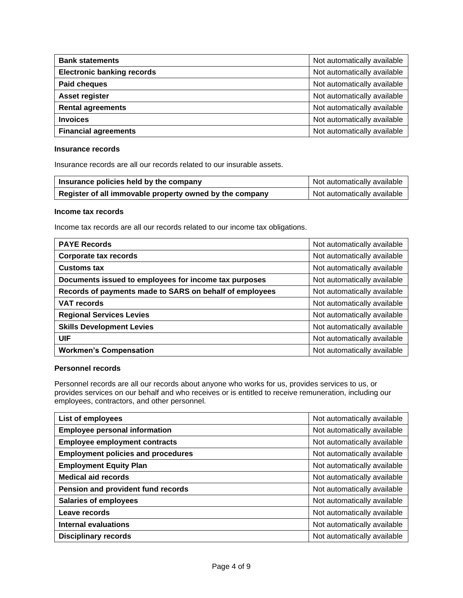| <b>Bank statements</b>            | Not automatically available |
|-----------------------------------|-----------------------------|
| <b>Electronic banking records</b> | Not automatically available |
| Paid cheques                      | Not automatically available |
| Asset register                    | Not automatically available |
| <b>Rental agreements</b>          | Not automatically available |
| <b>Invoices</b>                   | Not automatically available |
| <b>Financial agreements</b>       | Not automatically available |

#### <span id="page-3-0"></span>**Insurance records**

Insurance records are all our records related to our insurable assets.

| Insurance policies held by the company                  | Not automatically available |
|---------------------------------------------------------|-----------------------------|
| Register of all immovable property owned by the company | Not automatically available |

#### <span id="page-3-1"></span>**Income tax records**

Income tax records are all our records related to our income tax obligations.

| <b>PAYE Records</b>                                     | Not automatically available |
|---------------------------------------------------------|-----------------------------|
| <b>Corporate tax records</b>                            | Not automatically available |
| <b>Customs tax</b>                                      | Not automatically available |
| Documents issued to employees for income tax purposes   | Not automatically available |
| Records of payments made to SARS on behalf of employees | Not automatically available |
| <b>VAT records</b>                                      | Not automatically available |
| <b>Regional Services Levies</b>                         | Not automatically available |
| <b>Skills Development Levies</b>                        | Not automatically available |
| <b>UIF</b>                                              | Not automatically available |
| <b>Workmen's Compensation</b>                           | Not automatically available |

#### <span id="page-3-2"></span>**Personnel records**

Personnel records are all our records about anyone who works for us, provides services to us, or provides services on our behalf and who receives or is entitled to receive remuneration, including our employees, contractors, and other personnel.

| List of employees                         | Not automatically available |
|-------------------------------------------|-----------------------------|
| <b>Employee personal information</b>      | Not automatically available |
| <b>Employee employment contracts</b>      | Not automatically available |
| <b>Employment policies and procedures</b> | Not automatically available |
| <b>Employment Equity Plan</b>             | Not automatically available |
| <b>Medical aid records</b>                | Not automatically available |
| Pension and provident fund records        | Not automatically available |
| <b>Salaries of employees</b>              | Not automatically available |
| Leave records                             | Not automatically available |
| <b>Internal evaluations</b>               | Not automatically available |
| <b>Disciplinary records</b>               | Not automatically available |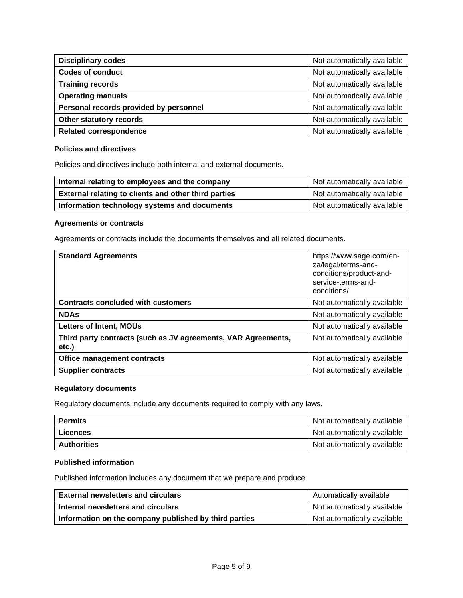| <b>Disciplinary codes</b>              | Not automatically available |
|----------------------------------------|-----------------------------|
| <b>Codes of conduct</b>                | Not automatically available |
| <b>Training records</b>                | Not automatically available |
| <b>Operating manuals</b>               | Not automatically available |
| Personal records provided by personnel | Not automatically available |
| Other statutory records                | Not automatically available |
| <b>Related correspondence</b>          | Not automatically available |

### <span id="page-4-0"></span>**Policies and directives**

Policies and directives include both internal and external documents.

| Internal relating to employees and the company       | Not automatically available |
|------------------------------------------------------|-----------------------------|
| External relating to clients and other third parties | Not automatically available |
| Information technology systems and documents         | Not automatically available |

#### <span id="page-4-1"></span>**Agreements or contracts**

Agreements or contracts include the documents themselves and all related documents.

| <b>Standard Agreements</b>                                             | https://www.sage.com/en-<br>za/legal/terms-and-<br>conditions/product-and-<br>service-terms-and-<br>conditions/ |
|------------------------------------------------------------------------|-----------------------------------------------------------------------------------------------------------------|
| <b>Contracts concluded with customers</b>                              | Not automatically available                                                                                     |
| <b>NDAs</b>                                                            | Not automatically available                                                                                     |
| <b>Letters of Intent, MOUs</b>                                         | Not automatically available                                                                                     |
| Third party contracts (such as JV agreements, VAR Agreements,<br>etc.) | Not automatically available                                                                                     |
| Office management contracts                                            | Not automatically available                                                                                     |
| <b>Supplier contracts</b>                                              | Not automatically available                                                                                     |

# <span id="page-4-2"></span>**Regulatory documents**

Regulatory documents include any documents required to comply with any laws.

| <b>Permits</b>     | Not automatically available |
|--------------------|-----------------------------|
| ∣ Licences         | Not automatically available |
| <b>Authorities</b> | Not automatically available |

### <span id="page-4-3"></span>**Published information**

Published information includes any document that we prepare and produce.

| <b>External newsletters and circulars</b>             | Automatically available     |
|-------------------------------------------------------|-----------------------------|
| Internal newsletters and circulars                    | Not automatically available |
| Information on the company published by third parties | Not automatically available |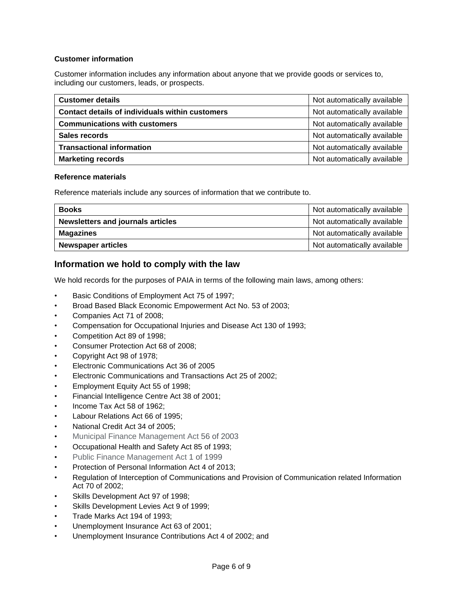### <span id="page-5-0"></span>**Customer information**

Customer information includes any information about anyone that we provide goods or services to, including our customers, leads, or prospects.

| <b>Customer details</b>                         | Not automatically available |
|-------------------------------------------------|-----------------------------|
| Contact details of individuals within customers | Not automatically available |
| <b>Communications with customers</b>            | Not automatically available |
| Sales records                                   | Not automatically available |
| <b>Transactional information</b>                | Not automatically available |
| <b>Marketing records</b>                        | Not automatically available |

### <span id="page-5-1"></span>**Reference materials**

Reference materials include any sources of information that we contribute to.

| <b>Books</b>                             | Not automatically available |
|------------------------------------------|-----------------------------|
| <b>Newsletters and journals articles</b> | Not automatically available |
| <b>Magazines</b>                         | Not automatically available |
| <b>Newspaper articles</b>                | Not automatically available |

# <span id="page-5-2"></span>**Information we hold to comply with the law**

We hold records for the purposes of PAIA in terms of the following main laws, among others:

- Basic Conditions of Employment Act 75 of 1997;
- Broad Based Black Economic Empowerment Act No. 53 of 2003;
- Companies Act 71 of 2008;
- Compensation for Occupational Injuries and Disease Act 130 of 1993;
- Competition Act 89 of 1998;
- Consumer Protection Act 68 of 2008;
- Copyright Act 98 of 1978;
- Electronic Communications Act 36 of 2005
- Electronic Communications and Transactions Act 25 of 2002;
- Employment Equity Act 55 of 1998;
- Financial Intelligence Centre Act 38 of 2001;
- Income Tax Act 58 of 1962;
- Labour Relations Act 66 of 1995;
- National Credit Act 34 of 2005;
- Municipal Finance Management Act 56 of 2003
- Occupational Health and Safety Act 85 of 1993;
- Public Finance Management Act 1 of 1999
- Protection of Personal Information Act 4 of 2013;
- Regulation of Interception of Communications and Provision of Communication related Information Act 70 of 2002;
- Skills Development Act 97 of 1998;
- Skills Development Levies Act 9 of 1999;
- Trade Marks Act 194 of 1993;
- Unemployment Insurance Act 63 of 2001;
- Unemployment Insurance Contributions Act 4 of 2002; and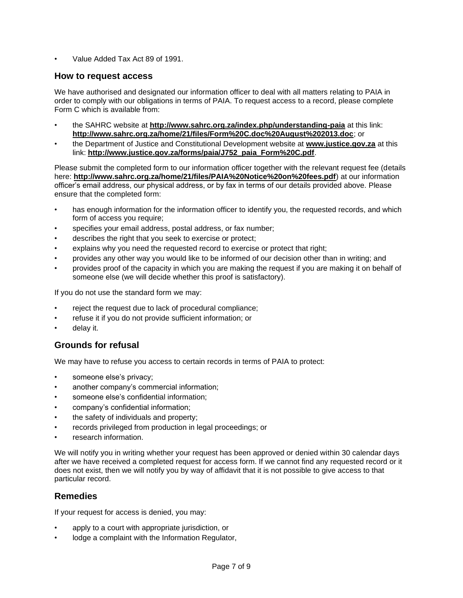• Value Added Tax Act 89 of 1991.

# <span id="page-6-0"></span>**How to request access**

We have authorised and designated our information officer to deal with all matters relating to PAIA in order to comply with our obligations in terms of PAIA. To request access to a record, please complete Form C which is available from:

- the SAHRC website at **<http://www.sahrc.org.za/index.php/understanding-paia>** at this link: **<http://www.sahrc.org.za/home/21/files/Form%20C.doc%20August%202013.doc>**; or
- the Department of Justice and Constitutional Development website at **[www.justice.gov.za](http://www.justice.gov.za/)** at this link: **[http://www.justice.gov.za/forms/paia/J752\\_paia\\_Form%20C.pdf](http://www.justice.gov.za/forms/paia/J752_paia_Form%20C.pdf)**.

Please submit the completed form to our information officer together with the relevant request fee (details here: **<http://www.sahrc.org.za/home/21/files/PAIA%20Notice%20on%20fees.pdf>**) at our information officer's email address, our physical address, or by fax in terms of our details provided above. Please ensure that the completed form:

- has enough information for the information officer to identify you, the requested records, and which form of access you require;
- specifies your email address, postal address, or fax number;
- describes the right that you seek to exercise or protect;
- explains why you need the requested record to exercise or protect that right;
- provides any other way you would like to be informed of our decision other than in writing; and
- provides proof of the capacity in which you are making the request if you are making it on behalf of someone else (we will decide whether this proof is satisfactory).

If you do not use the standard form we may:

- reject the request due to lack of procedural compliance;
- refuse it if you do not provide sufficient information; or
- delav it.

# <span id="page-6-1"></span>**Grounds for refusal**

We may have to refuse you access to certain records in terms of PAIA to protect:

- someone else's privacy;
- another company's commercial information;
- someone else's confidential information:
- company's confidential information;
- the safety of individuals and property;
- records privileged from production in legal proceedings; or
- research information.

We will notify you in writing whether your request has been approved or denied within 30 calendar days after we have received a completed request for access form. If we cannot find any requested record or it does not exist, then we will notify you by way of affidavit that it is not possible to give access to that particular record.

# <span id="page-6-2"></span>**Remedies**

If your request for access is denied, you may:

- apply to a court with appropriate jurisdiction, or
- lodge a complaint with the Information Regulator,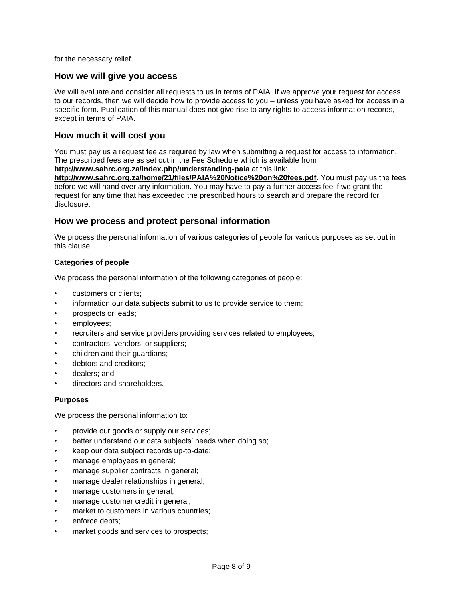for the necessary relief.

### <span id="page-7-0"></span>**How we will give you access**

We will evaluate and consider all requests to us in terms of PAIA. If we approve your request for access to our records, then we will decide how to provide access to you – unless you have asked for access in a specific form. Publication of this manual does not give rise to any rights to access information records, except in terms of PAIA.

### <span id="page-7-1"></span>**How much it will cost you**

You must pay us a request fee as required by law when submitting a request for access to information. The prescribed fees are as set out in the Fee Schedule which is available from

**<http://www.sahrc.org.za/index.php/understanding-paia>** at this link:

**<http://www.sahrc.org.za/home/21/files/PAIA%20Notice%20on%20fees.pdf>**. You must pay us the fees before we will hand over any information. You may have to pay a further access fee if we grant the request for any time that has exceeded the prescribed hours to search and prepare the record for disclosure.

### <span id="page-7-2"></span>**How we process and protect personal information**

We process the personal information of various categories of people for various purposes as set out in this clause.

### <span id="page-7-3"></span>**Categories of people**

We process the personal information of the following categories of people:

- customers or clients;
- information our data subjects submit to us to provide service to them;
- prospects or leads;
- employees;
- recruiters and service providers providing services related to employees;
- contractors, vendors, or suppliers;
- children and their guardians;
- debtors and creditors:
- dealers; and
- directors and shareholders.

#### <span id="page-7-4"></span>**Purposes**

We process the personal information to:

- provide our goods or supply our services;
- better understand our data subjects' needs when doing so;
- keep our data subject records up-to-date;
- manage employees in general;
- manage supplier contracts in general;
- manage dealer relationships in general;
- manage customers in general;
- manage customer credit in general;
- market to customers in various countries;
- enforce debts:
- market goods and services to prospects;